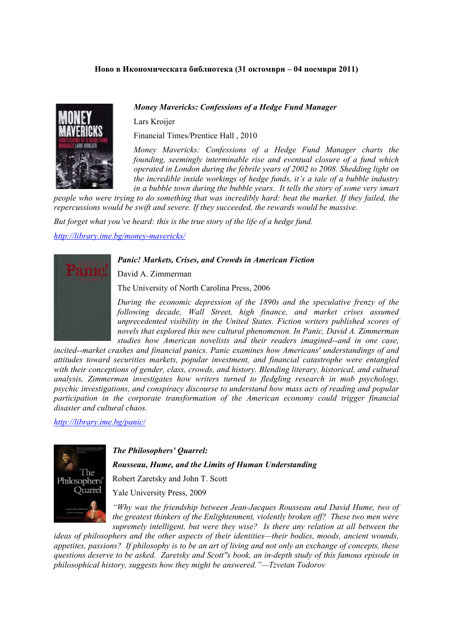## **Ново в Икономическата библиотека (31 октомври – 04 ноември 2011)**

## *Money Mavericks: Confessions of a Hedge Fund Manager*

Lars Kroijer

Financial Times/Prentice Hall , 2010

*Money Mavericks: Confessions of a Hedge Fund Manager charts the founding, seemingly interminable rise and eventual closure of a fund which operated in London during the febrile years of 2002 to 2008. Shedding light on the incredible inside workings of hedge funds, it's a tale of a bubble industry in a bubble town during the bubble years. It tells the story of some very smart* 

*people who were trying to do something that was incredibly hard: beat the market. If they failed, the repercussions would be swift and severe. If they succeeded, the rewards would be massive.* 

*But forget what you've heard: this is the true story of the life of a hedge fund.* 

*<http://library.ime.bg/money-mavericks/>*

## *Panic! Markets, Crises, and Crowds in American Fiction*

David A. Zimmerman

The University of North Carolina Press, 2006

*During the economic depression of the 1890s and the speculative frenzy of the following decade, Wall Street, high finance, and market crises assumed unprecedented visibility in the United States. Fiction writers published scores of novels that explored this new cultural phenomenon. In Panic, David A. Zimmerman studies how American novelists and their readers imagined--and in one case,* 

*incited--market crashes and financial panics. Panic examines how Americans' understandings of and attitudes toward securities markets, popular investment, and financial catastrophe were entangled with their conceptions of gender, class, crowds, and history. Blending literary, historical, and cultural analysis, Zimmerman investigates how writers turned to fledgling research in mob psychology, psychic investigations, and conspiracy discourse to understand how mass acts of reading and popular participation in the corporate transformation of the American economy could trigger financial disaster and cultural chaos.* 

*<http://library.ime.bg/panic/>*



*The Philosophers' Quarrel:*

*Rousseau, Hume, and the Limits of Human Understanding* 

Robert Zaretsky and John T. Scott

Yale University Press, 2009

*"Why was the friendship between Jean-Jacques Rousseau and David Hume, two of the greatest thinkers of the Enlightenment, violently broken off? These two men were supremely intelligent, but were they wise? Is there any relation at all between the* 

*ideas of philosophers and the other aspects of their identities—their bodies, moods, ancient wounds, appetites, passions? If philosophy is to be an art of living and not only an exchange of concepts, these questions deserve to be asked. Zaretsky and Scott''s book, an in-depth study of this famous episode in philosophical history, suggests how they might be answered."—Tzvetan Todorov*